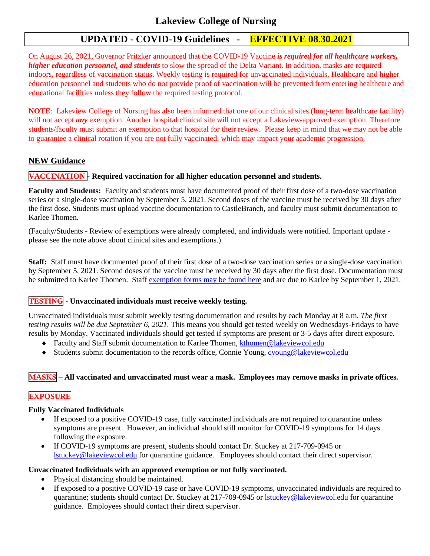# **UPDATED - COVID-19 Guidelines - EFFECTIVE 08.30.2021**

On August 26, 2021, Governor Pritzker announced that the COVID-19 Vaccine *is required for all healthcare workers, higher education personnel, and students* to slow the spread of the Delta Variant. In addition, masks are required indoors, regardless of vaccination status. Weekly testing is required for unvaccinated individuals. Healthcare and higher education personnel and students who do not provide proof of vaccination will be prevented from entering healthcare and educational facilities unless they follow the required testing protocol.

**NOTE**: Lakeview College of Nursing has also been informed that one of our clinical sites (long-term healthcare facility) will not accept *any* exemption. Another hospital clinical site will not accept a Lakeview-approved exemption. Therefore students/faculty must submit an exemption to that hospital for their review. Please keep in mind that we may not be able to guarantee a clinical rotation if you are not fully vaccinated, which may impact your academic progression.

## **NEW Guidance**

### **VACCINATION - Required vaccination for all higher education personnel and students.**

**Faculty and Students:** Faculty and students must have documented proof of their first dose of a two-dose vaccination series or a single-dose vaccination by September 5, 2021. Second doses of the vaccine must be received by 30 days after the first dose. Students must upload vaccine documentation to CastleBranch, and faculty must submit documentation to Karlee Thomen.

(Faculty/Students - Review of exemptions were already completed, and individuals were notified. Important update please see the note above about clinical sites and exemptions.)

**Staff:** Staff must have documented proof of their first dose of a two-dose vaccination series or a single-dose vaccination by September 5, 2021. Second doses of the vaccine must be received by 30 days after the first dose. Documentation must be submitted to Karlee Thomen. Staff [exemption forms may be found here](https://info.lakeviewcol.edu/covid-19-lakeview-college-of-nursing-information) and are due to Karlee by September 1, 2021.

### **TESTING - Unvaccinated individuals must receive weekly testing.**

Unvaccinated individuals must submit weekly testing documentation and results by each Monday at 8 a.m. *The first testing results will be due September 6, 2021.* This means you should get tested weekly on Wednesdays-Fridays to have results by Monday. Vaccinated individuals should get tested if symptoms are present or 3-5 days after direct exposure.

- ◆ Faculty and Staff submit documentation to Karlee Thomen, kthomen@lakeviewcol.edu
- Students submit documentation to the records office, Connie Young, [cyoung@lakeviewcol.edu](mailto:cyoung@lakeviewcol.edu)

### **MASKS – All vaccinated and unvaccinated must wear a mask. Employees may remove masks in private offices.**

## **EXPOSURE**

#### **Fully Vaccinated Individuals**

- If exposed to a positive COVID-19 case, fully vaccinated individuals are not required to quarantine unless symptoms are present. However, an individual should still monitor for COVID-19 symptoms for 14 days following the exposure.
- If COVID-19 symptoms are present, students should contact Dr. Stuckey at 217-709-0945 or [lstuckey@lakeviewcol.edu](mailto:lstuckey@lakeviewcol.edu) for quarantine guidance. Employees should contact their direct supervisor.

#### **Unvaccinated Individuals with an approved exemption or not fully vaccinated.**

- Physical distancing should be maintained.
- If exposed to a positive COVID-19 case or have COVID-19 symptoms, unvaccinated individuals are required to quarantine; students should contact Dr. Stuckey at 217-709-0945 or [lstuckey@lakeviewcol.edu](mailto:lstuckey@lakeviewcol.edu) for quarantine guidance. Employees should contact their direct supervisor.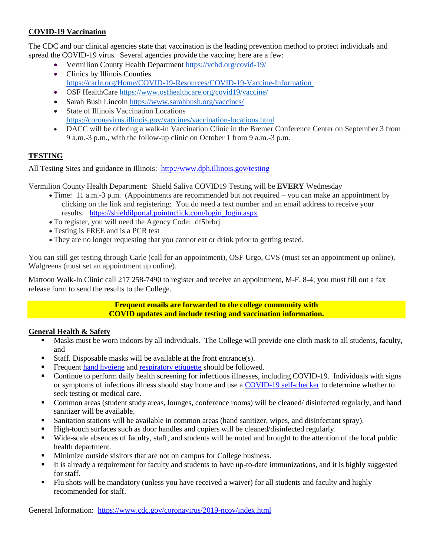#### **COVID-19 Vaccination**

The CDC and our clinical agencies state that vaccination is the leading prevention method to protect individuals and spread the COVID-19 virus. Several agencies provide the vaccine; here are a few:

- Vermilion County Health Department <https://vchd.org/covid-19/>
- Clinics by Illinois Counties https://carle.org/Home/COVID-19-Resources/COVID-19-Vaccine-Information
- OSF HealthCare <https://www.osfhealthcare.org/covid19/vaccine/>
- Sarah Bush Lincoln <https://www.sarahbush.org/vaccines/>
- State of Illinois Vaccination Locations <https://coronavirus.illinois.gov/vaccines/vaccination-locations.html>
- DACC will be offering a walk-in Vaccination Clinic in the Bremer Conference Center on September 3 from 9 a.m.-3 p.m., with the follow-up clinic on October 1 from 9 a.m.-3 p.m.

## **TESTING**

All Testing Sites and guidance in Illinois: http://www.dph.illinois.gov/testing

Vermilion County Health Department: Shield Saliva COVID19 Testing will be **EVERY** Wednesday

- Time: 11 a.m.-3 p.m. (Appointments are recommended but not required you can make an appointment by clicking on the link and registering: You do need a text number and an email address to receive your results. [https://shieldilportal.pointnclick.com/login\\_login.aspx](https://shieldilportal.pointnclick.com/login_login.aspx)
- To register, you will need the Agency Code: df5brbrj
- Testing is FREE and is a PCR test
- They are no longer requesting that you cannot eat or drink prior to getting tested.

You can still get testing through Carle (call for an appointment), OSF Urgo, CVS (must set an appointment up online), Walgreens (must set an appointment up online).

Mattoon Walk-In Clinic call 217 258-7490 to register and receive an appointment, M-F, 8-4; you must fill out a fax release form to send the results to the College.

> **Frequent emails are forwarded to the college community with COVID updates and include testing and vaccination information.**

#### **General Health & Safety**

- Masks must be worn indoors by all individuals. The College will provide one cloth mask to all students, faculty, and
- Staff. Disposable masks will be available at the front entrance(s).
- Frequent [hand hygiene](https://www.cdc.gov/handwashing/when-how-handwashing.html) an[d respiratory etiquette](https://www.cdc.gov/healthywater/hygiene/etiquette/coughing_sneezing.html) should be followed.
- Continue to perform daily health screening for infectious illnesses, including COVID-19. Individuals with signs or symptoms of infectious illness should stay home and use [a COVID-19 self-checker](https://www.cdc.gov/coronavirus/2019-ncov/symptoms-testing/coronavirus-self-checker.html) to determine whether to seek testing or medical care.
- Common areas (student study areas, lounges, conference rooms) will be cleaned/ disinfected regularly, and hand sanitizer will be available.
- Sanitation stations will be available in common areas (hand sanitizer, wipes, and disinfectant spray).
- High-touch surfaces such as door handles and copiers will be cleaned/disinfected regularly.
- Wide-scale absences of faculty, staff, and students will be noted and brought to the attention of the local public health department.
- Minimize outside visitors that are not on campus for College business.
- It is already a requirement for faculty and students to have up-to-date immunizations, and it is highly suggested for staff.
- Flu shots will be mandatory (unless you have received a waiver) for all students and faculty and highly recommended for staff.

General Information: <https://www.cdc.gov/coronavirus/2019-ncov/index.html>